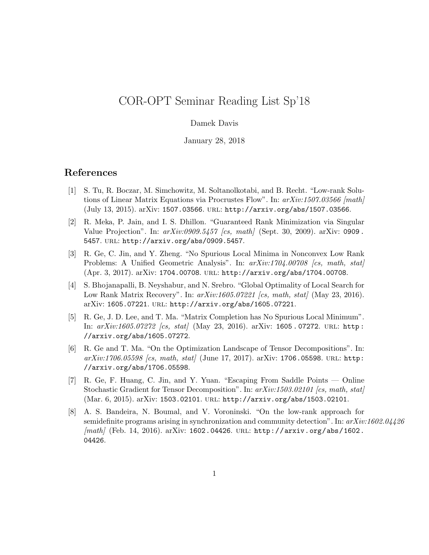## COR-OPT Seminar Reading List Sp'18

## Damek Davis

January 28, 2018

## References

- [1] S. Tu, R. Boczar, M. Simchowitz, M. Soltanolkotabi, and B. Recht. "Low-rank Solutions of Linear Matrix Equations via Procrustes Flow". In:  $arXiv:1507.03566$  [math] (July 13, 2015). arXiv: 1507.03566. url: http://arxiv.org/abs/1507.03566.
- [2] R. Meka, P. Jain, and I. S. Dhillon. "Guaranteed Rank Minimization via Singular Value Projection". In:  $arXiv:0909.5457$  [cs, math] (Sept. 30, 2009). arXiv: 0909. 5457. url: http://arxiv.org/abs/0909.5457.
- [3] R. Ge, C. Jin, and Y. Zheng. "No Spurious Local Minima in Nonconvex Low Rank Problems: A Unified Geometric Analysis". In:  $arXiv:1704.00708$  [cs, math, stat] (Apr. 3, 2017). arXiv: 1704.00708. url: http://arxiv.org/abs/1704.00708.
- [4] S. Bhojanapalli, B. Neyshabur, and N. Srebro. "Global Optimality of Local Search for Low Rank Matrix Recovery". In:  $arXiv:1605.07221$  [cs, math, stat] (May 23, 2016). arXiv: 1605.07221. url: http://arxiv.org/abs/1605.07221.
- [5] R. Ge, J. D. Lee, and T. Ma. "Matrix Completion has No Spurious Local Minimum". In:  $arXiv:1605.07272$  [cs, stat] (May 23, 2016). arXiv: 1605.07272. URL: http: //arxiv.org/abs/1605.07272.
- [6] R. Ge and T. Ma. "On the Optimization Landscape of Tensor Decompositions". In:  $arXiv:1706.05598$  [cs, math, stat] (June 17, 2017). arXiv: 1706.05598. URL: http: //arxiv.org/abs/1706.05598.
- [7] R. Ge, F. Huang, C. Jin, and Y. Yuan. "Escaping From Saddle Points Online Stochastic Gradient for Tensor Decomposition". In:  $arXiv:1503.02101$  [cs, math, stat] (Mar. 6, 2015). arXiv: 1503.02101. url: http://arxiv.org/abs/1503.02101.
- [8] A. S. Bandeira, N. Boumal, and V. Voroninski. "On the low-rank approach for semidefinite programs arising in synchronization and community detection". In:  $arXiv:1602.04426$  $[math]$  (Feb. 14, 2016). arXiv: 1602.04426. URL: http://arxiv.org/abs/1602. 04426.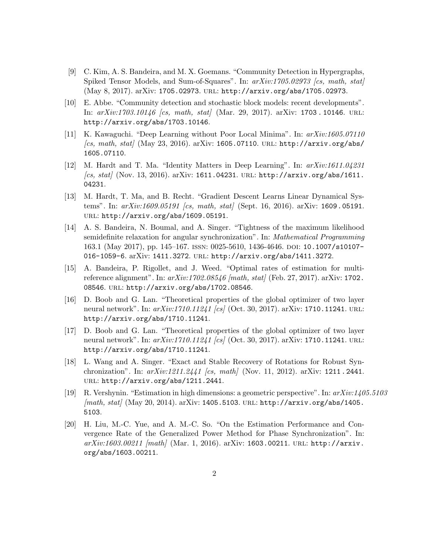- [9] C. Kim, A. S. Bandeira, and M. X. Goemans. "Community Detection in Hypergraphs, Spiked Tensor Models, and Sum-of-Squares". In:  $arXiv:1705.02973$  [cs, math, stat] (May 8, 2017). arXiv: 1705.02973. url: http://arxiv.org/abs/1705.02973.
- [10] E. Abbe. "Community detection and stochastic block models: recent developments". In:  $arXiv:1703.10146$  (cs, math, stat) (Mar. 29, 2017). arXiv: 1703.10146. URL: http://arxiv.org/abs/1703.10146.
- [11] K. Kawaguchi. "Deep Learning without Poor Local Minima". In: arXiv:1605.07110  $\int$ /cs, math, stat $\int$  (May 23, 2016). arXiv: 1605.07110. URL: http://arxiv.org/abs/ 1605.07110.
- [12] M. Hardt and T. Ma. "Identity Matters in Deep Learning". In: arXiv:1611.04231  $[cs, stat]$  (Nov. 13, 2016). arXiv: 1611.04231. URL: http://arxiv.org/abs/1611. 04231.
- [13] M. Hardt, T. Ma, and B. Recht. "Gradient Descent Learns Linear Dynamical Systems". In:  $arXiv:1609.05191$  [cs, math, stat] (Sept. 16, 2016). arXiv: 1609.05191. url: http://arxiv.org/abs/1609.05191.
- [14] A. S. Bandeira, N. Boumal, and A. Singer. "Tightness of the maximum likelihood semidefinite relaxation for angular synchronization". In: Mathematical Programming 163.1 (May 2017), pp. 145–167. issn: 0025-5610, 1436-4646. doi: 10.1007/s10107- 016-1059-6. arXiv: 1411.3272. url: http://arxiv.org/abs/1411.3272.
- [15] A. Bandeira, P. Rigollet, and J. Weed. "Optimal rates of estimation for multireference alignment". In:  $arXiv:1702.08546$  [math, stat] (Feb. 27, 2017). arXiv: 1702. 08546. url: http://arxiv.org/abs/1702.08546.
- [16] D. Boob and G. Lan. "Theoretical properties of the global optimizer of two layer neural network". In:  $arXiv:1710.11241$  [cs] (Oct. 30, 2017).  $arXiv: 1710.11241$ . URL: http://arxiv.org/abs/1710.11241.
- [17] D. Boob and G. Lan. "Theoretical properties of the global optimizer of two layer neural network". In:  $arXiv:1710.11241$  [cs] (Oct. 30, 2017). arXiv: 1710.11241. URL: http://arxiv.org/abs/1710.11241.
- [18] L. Wang and A. Singer. "Exact and Stable Recovery of Rotations for Robust Synchronization". In:  $arXiv:1211.2441$  [cs, math] (Nov. 11, 2012).  $arXiv:$  1211.2441. url: http://arxiv.org/abs/1211.2441.
- [19] R. Vershynin. "Estimation in high dimensions: a geometric perspective". In: arXiv:1405.5103  $[math, stat]$  (May 20, 2014). arXiv: 1405.5103. URL: http://arxiv.org/abs/1405. 5103.
- [20] H. Liu, M.-C. Yue, and A. M.-C. So. "On the Estimation Performance and Convergence Rate of the Generalized Power Method for Phase Synchronization". In:  $arXiv:1603.00211$  [math] (Mar. 1, 2016). arXiv: 1603.00211. URL: http://arxiv. org/abs/1603.00211.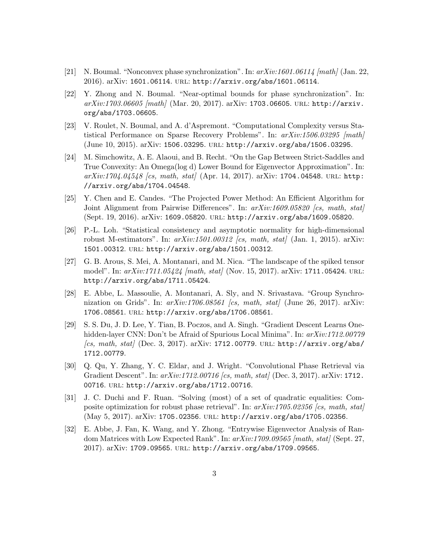- [21] N. Boumal. "Nonconvex phase synchronization". In:  $arXiv:1601.06114$  [math] (Jan. 22, 2016). arXiv: 1601.06114. url: http://arxiv.org/abs/1601.06114.
- [22] Y. Zhong and N. Boumal. "Near-optimal bounds for phase synchronization". In:  $arXiv:1703.06605$  [math] (Mar. 20, 2017). arXiv: 1703.06605. URL: http://arxiv. org/abs/1703.06605.
- [23] V. Roulet, N. Boumal, and A. d'Aspremont. "Computational Complexity versus Statistical Performance on Sparse Recovery Problems". In:  $arXiv:1506.03295$  [math] (June 10, 2015). arXiv: 1506.03295. url: http://arxiv.org/abs/1506.03295.
- [24] M. Simchowitz, A. E. Alaoui, and B. Recht. "On the Gap Between Strict-Saddles and True Convexity: An Omega(log d) Lower Bound for Eigenvector Approximation". In:  $arXiv:1704.04548$  [cs, math, stat] (Apr. 14, 2017). arXiv: 1704.04548. URL: http: //arxiv.org/abs/1704.04548.
- [25] Y. Chen and E. Candes. "The Projected Power Method: An Efficient Algorithm for Joint Alignment from Pairwise Differences". In:  $arXiv:1609.05820$  [cs, math, stat] (Sept. 19, 2016). arXiv: 1609.05820. url: http://arxiv.org/abs/1609.05820.
- [26] P.-L. Loh. "Statistical consistency and asymptotic normality for high-dimensional robust M-estimators". In:  $arXiv:1501.00312$  [cs, math, stat] (Jan. 1, 2015). arXiv: 1501.00312. url: http://arxiv.org/abs/1501.00312.
- [27] G. B. Arous, S. Mei, A. Montanari, and M. Nica. "The landscape of the spiked tensor model". In:  $arXiv:1711.05424$  [math, stat] (Nov. 15, 2017).  $arXiv: 1711.05424$ . URL: http://arxiv.org/abs/1711.05424.
- [28] E. Abbe, L. Massoulie, A. Montanari, A. Sly, and N. Srivastava. "Group Synchronization on Grids". In:  $arXiv:1706.08561$  (cs, math, stat) (June 26, 2017). arXiv: 1706.08561. url: http://arxiv.org/abs/1706.08561.
- [29] S. S. Du, J. D. Lee, Y. Tian, B. Poczos, and A. Singh. "Gradient Descent Learns Onehidden-layer CNN: Don't be Afraid of Spurious Local Minima". In:  $arXiv:1712.00779$  $\int$ /cs, math, stat $\int$  (Dec. 3, 2017). arXiv: 1712.00779. URL: http://arxiv.org/abs/ 1712.00779.
- [30] Q. Qu, Y. Zhang, Y. C. Eldar, and J. Wright. "Convolutional Phase Retrieval via Gradient Descent". In:  $arXiv:1712.00716$  [cs, math, stat] (Dec. 3, 2017). arXiv: 1712. 00716. URL: http://arxiv.org/abs/1712.00716.
- [31] J. C. Duchi and F. Ruan. "Solving (most) of a set of quadratic equalities: Composite optimization for robust phase retrieval". In:  $arXiv:1705.02356$  [cs, math, stat] (May 5, 2017). arXiv: 1705.02356. url: http://arxiv.org/abs/1705.02356.
- [32] E. Abbe, J. Fan, K. Wang, and Y. Zhong. "Entrywise Eigenvector Analysis of Random Matrices with Low Expected Rank". In:  $arXiv:1709.09565$  [math, stat] (Sept. 27, 2017). arXiv: 1709.09565. url: http://arxiv.org/abs/1709.09565.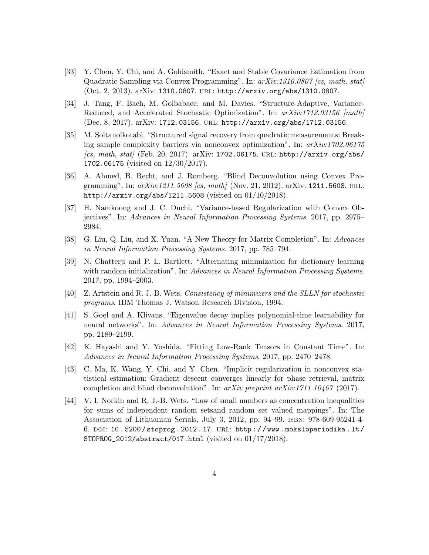- [33] Y. Chen, Y. Chi, and A. Goldsmith. "Exact and Stable Covariance Estimation from Quadratic Sampling via Convex Programming". In: arXiv:1310.0807 [cs, math, stat] (Oct. 2, 2013). arXiv: 1310.0807. url: http://arxiv.org/abs/1310.0807.
- [34] J. Tang, F. Bach, M. Golbabaee, and M. Davies. "Structure-Adaptive, Variance-Reduced, and Accelerated Stochastic Optimization". In:  $arXiv:1712.03156$  [math] (Dec. 8, 2017). arXiv: 1712.03156. url: http://arxiv.org/abs/1712.03156.
- [35] M. Soltanolkotabi. "Structured signal recovery from quadratic measurements: Breaking sample complexity barriers via nonconvex optimization". In: arXiv:1702.06175  $[cs, math, stat]$  (Feb. 20, 2017). arXiv: 1702.06175. URL: http://arxiv.org/abs/ 1702.06175 (visited on 12/30/2017).
- [36] A. Ahmed, B. Recht, and J. Romberg. "Blind Deconvolution using Convex Programming". In:  $arXiv:1211.5608$  [cs, math] (Nov. 21, 2012). arXiv: 1211.5608. URL: http://arxiv.org/abs/1211.5608 (visited on 01/10/2018).
- [37] H. Namkoong and J. C. Duchi. "Variance-based Regularization with Convex Objectives". In: Advances in Neural Information Processing Systems. 2017, pp. 2975– 2984.
- [38] G. Liu, Q. Liu, and X. Yuan. "A New Theory for Matrix Completion". In: Advances in Neural Information Processing Systems. 2017, pp. 785–794.
- [39] N. Chatterji and P. L. Bartlett. "Alternating minimization for dictionary learning with random initialization". In: Advances in Neural Information Processing Systems. 2017, pp. 1994–2003.
- [40] Z. Artstein and R. J.-B. Wets. Consistency of minimizers and the SLLN for stochastic programs. IBM Thomas J. Watson Research Division, 1994.
- [41] S. Goel and A. Klivans. "Eigenvalue decay implies polynomial-time learnability for neural networks". In: Advances in Neural Information Processing Systems. 2017, pp. 2189–2199.
- [42] K. Hayashi and Y. Yoshida. "Fitting Low-Rank Tensors in Constant Time". In: Advances in Neural Information Processing Systems. 2017, pp. 2470–2478.
- [43] C. Ma, K. Wang, Y. Chi, and Y. Chen. "Implicit regularization in nonconvex statistical estimation: Gradient descent converges linearly for phase retrieval, matrix completion and blind deconvolution". In:  $arXiv$  preprint  $arXiv:1711.10467$  (2017).
- [44] V. I. Norkin and R. J.-B. Wets. "Law of small numbers as concentration inequalities for sums of independent random setsand random set valued mappings". In: The Association of Lithuanian Serials, July 3, 2012, pp. 94–99. isbn: 978-609-95241-4- 6. doi: 10 . 5200 / stoprog . 2012 . 17. url: http : / / www . moksloperiodika . lt / STOPROG\_2012/abstract/017.html (visited on 01/17/2018).